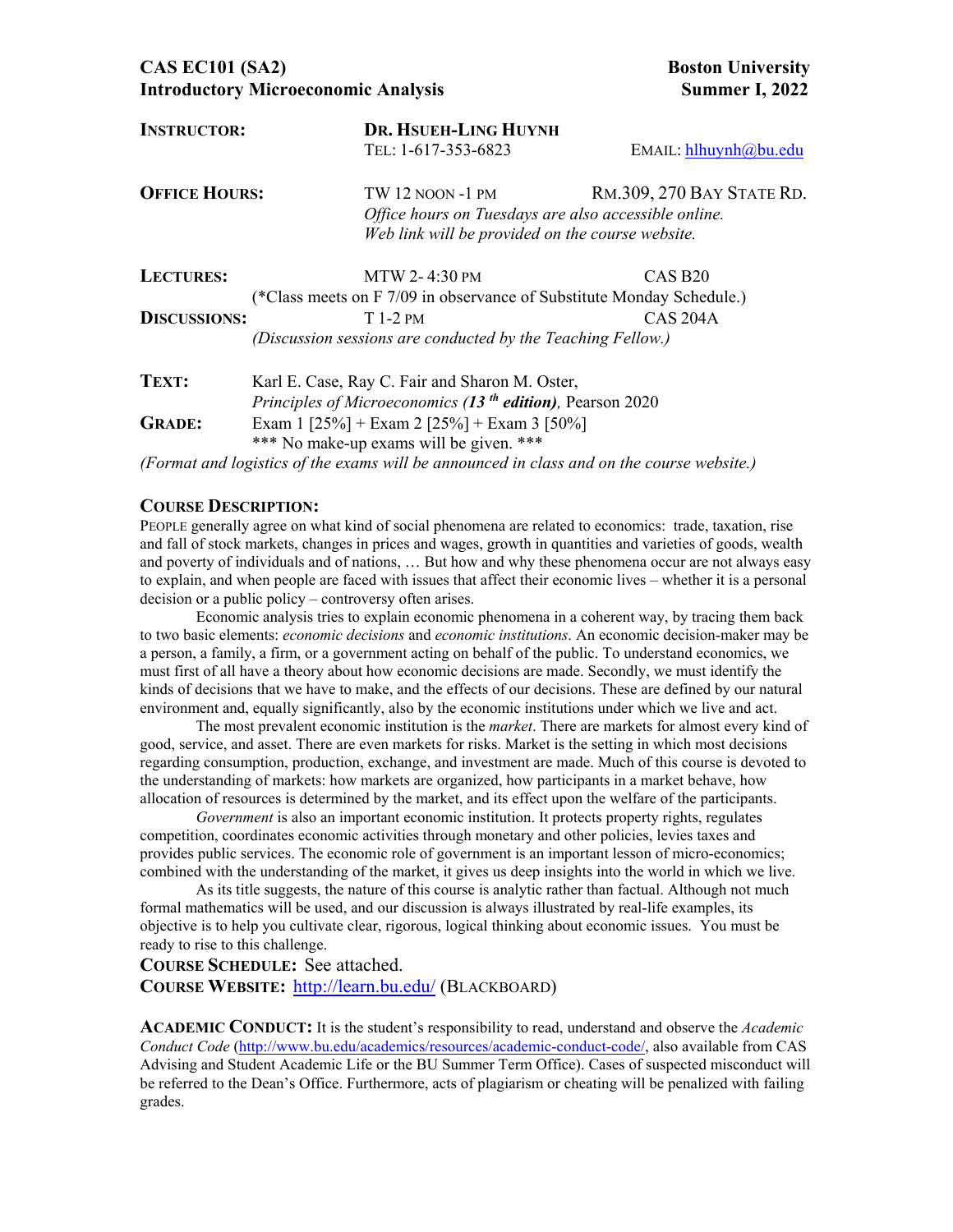## **CAS EC101 (SA2)** Boston University **Introductory Microeconomic Analysis Summer I, 2022**

| <b>INSTRUCTOR:</b>   | DR. HSUEH-LING HUYNH                                                                      |                                                  |  |  |
|----------------------|-------------------------------------------------------------------------------------------|--------------------------------------------------|--|--|
|                      | TEL: 1-617-353-6823                                                                       | $E$ MAIL: hlhuynh $@$ bu.edu                     |  |  |
| <b>OFFICE HOURS:</b> | TW 12 noon -1 pm                                                                          | RM.309, 270 BAY STATE RD.                        |  |  |
|                      | Office hours on Tuesdays are also accessible online.                                      |                                                  |  |  |
|                      |                                                                                           | Web link will be provided on the course website. |  |  |
| <b>LECTURES:</b>     | MTW 2-4:30 PM                                                                             | CAS <sub>B20</sub>                               |  |  |
|                      | (*Class meets on F 7/09 in observance of Substitute Monday Schedule.)                     |                                                  |  |  |
| <b>DISCUSSIONS:</b>  | $T$ 1-2 PM                                                                                | CAS 204A                                         |  |  |
|                      | (Discussion sessions are conducted by the Teaching Fellow.)                               |                                                  |  |  |
| TEXT:                | Karl E. Case, Ray C. Fair and Sharon M. Oster,                                            |                                                  |  |  |
|                      | Principles of Microeconomics (13 <sup>th</sup> edition), Pearson 2020                     |                                                  |  |  |
| <b>GRADE:</b>        | Exam 1 [25%] + Exam 2 [25%] + Exam 3 [50%]                                                |                                                  |  |  |
|                      | *** No make-up exams will be given. ***                                                   |                                                  |  |  |
|                      | (Format and logistics of the exams will be announced in class and on the course website.) |                                                  |  |  |

### **COURSE DESCRIPTION:**

PEOPLE generally agree on what kind of social phenomena are related to economics: trade, taxation, rise and fall of stock markets, changes in prices and wages, growth in quantities and varieties of goods, wealth and poverty of individuals and of nations, … But how and why these phenomena occur are not always easy to explain, and when people are faced with issues that affect their economic lives – whether it is a personal decision or a public policy – controversy often arises.

Economic analysis tries to explain economic phenomena in a coherent way, by tracing them back to two basic elements: *economic decisions* and *economic institutions*. An economic decision-maker may be a person, a family, a firm, or a government acting on behalf of the public. To understand economics, we must first of all have a theory about how economic decisions are made. Secondly, we must identify the kinds of decisions that we have to make, and the effects of our decisions. These are defined by our natural environment and, equally significantly, also by the economic institutions under which we live and act.

The most prevalent economic institution is the *market*. There are markets for almost every kind of good, service, and asset. There are even markets for risks. Market is the setting in which most decisions regarding consumption, production, exchange, and investment are made. Much of this course is devoted to the understanding of markets: how markets are organized, how participants in a market behave, how allocation of resources is determined by the market, and its effect upon the welfare of the participants.

*Government* is also an important economic institution. It protects property rights, regulates competition, coordinates economic activities through monetary and other policies, levies taxes and provides public services. The economic role of government is an important lesson of micro-economics; combined with the understanding of the market, it gives us deep insights into the world in which we live.

As its title suggests, the nature of this course is analytic rather than factual. Although not much formal mathematics will be used, and our discussion is always illustrated by real-life examples, its objective is to help you cultivate clear, rigorous, logical thinking about economic issues. You must be ready to rise to this challenge.

#### **COURSE SCHEDULE:** See attached.

**COURSE WEBSITE:** http://learn.bu.edu/ (BLACKBOARD)

**ACADEMIC CONDUCT:** It is the student's responsibility to read, understand and observe the *Academic Conduct Code* (http://www.bu.edu/academics/resources/academic-conduct-code/, also available from CAS Advising and Student Academic Life or the BU Summer Term Office). Cases of suspected misconduct will be referred to the Dean's Office. Furthermore, acts of plagiarism or cheating will be penalized with failing grades.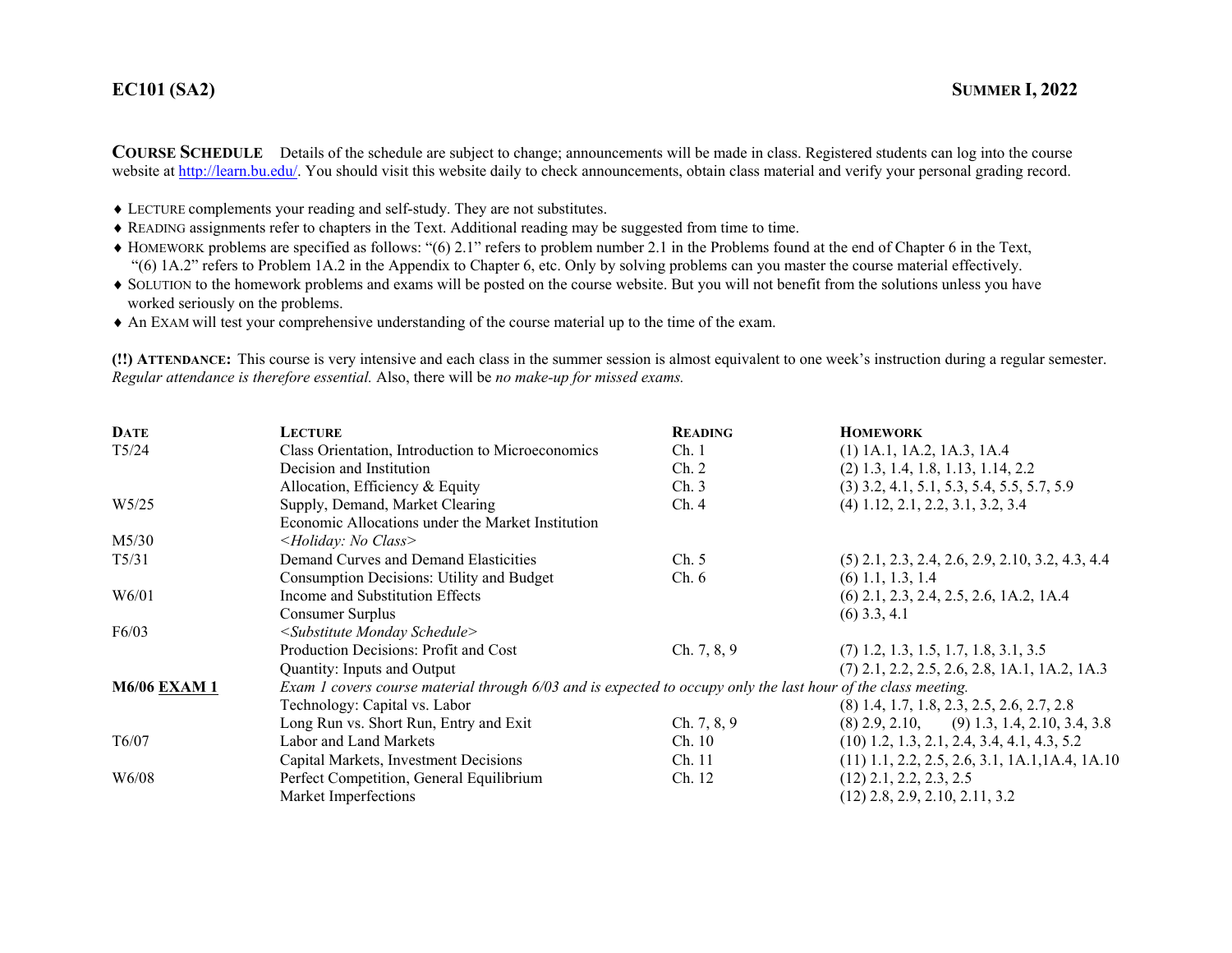## **EC101**

**COURSE SCHEDULE** Details of the schedule are subject to change; announcements will be made in class. Registered students can log into the course website at http://learn.bu.edu/. You should visit this website daily to check announcements, obtain class material and verify your personal grading record.

- LECTURE complements your reading and self-study. They are not substitutes.
- READING assignments refer to chapters in the Text. Additional reading may be suggested from time to time.
- HOMEWORK problems are specified as follows: "(6) 2.1" refers to problem number 2.1 in the Problems found at the end of Chapter 6 in the Text, "(6) 1A.2" refers to Problem 1A.2 in the Appendix to Chapter 6, etc. Only by solving problems can you master the course material effectively.
- SOLUTION to the homework problems and exams will be posted on the course website. But you will not benefit from the solutions unless you have worked seriously on the problems.
- An EXAM will test your comprehensive understanding of the course material up to the time of the exam.

**(!!) ATTENDANCE:** This course is very intensive and each class in the summer session is almost equivalent to one week's instruction during a regular semester. *Regular attendance is therefore essential.* Also, there will be *no make-up for missed exams.* 

| <b>DATE</b>         | <b>LECTURE</b>                                                                                                | <b>READING</b> | <b>HOMEWORK</b>                                    |
|---------------------|---------------------------------------------------------------------------------------------------------------|----------------|----------------------------------------------------|
| $T\frac{5}{24}$     | Class Orientation, Introduction to Microeconomics                                                             | Ch.1           | $(1)$ 1A.1, 1A.2, 1A.3, 1A.4                       |
|                     | Decision and Institution                                                                                      | Ch. 2          | $(2)$ 1.3, 1.4, 1.8, 1.13, 1.14, 2.2               |
|                     | Allocation, Efficiency & Equity                                                                               | Ch.3           | $(3)$ 3.2, 4.1, 5.1, 5.3, 5.4, 5.5, 5.7, 5.9       |
| W <sub>5/25</sub>   | Supply, Demand, Market Clearing                                                                               | Ch.4           | $(4)$ 1.12, 2.1, 2.2, 3.1, 3.2, 3.4                |
|                     | Economic Allocations under the Market Institution                                                             |                |                                                    |
| M5/30               | <holiday: class="" no=""></holiday:>                                                                          |                |                                                    |
| $T\frac{5}{3}1$     | Demand Curves and Demand Elasticities                                                                         | Ch. 5          | $(5)$ 2.1, 2.3, 2.4, 2.6, 2.9, 2.10, 3.2, 4.3, 4.4 |
|                     | Consumption Decisions: Utility and Budget                                                                     | Ch.6           | $(6)$ 1.1, 1.3, 1.4                                |
| W6/01               | Income and Substitution Effects                                                                               |                | $(6)$ 2.1, 2.3, 2.4, 2.5, 2.6, 1A.2, 1A.4          |
|                     | Consumer Surplus                                                                                              |                | $(6)$ 3.3, 4.1                                     |
| F6/03               | <substitute monday="" schedule=""></substitute>                                                               |                |                                                    |
|                     | Production Decisions: Profit and Cost                                                                         | Ch. 7, 8, 9    | $(7)$ 1.2, 1.3, 1.5, 1.7, 1.8, 3.1, 3.5            |
|                     | Quantity: Inputs and Output                                                                                   |                | $(7)$ 2.1, 2.2, 2.5, 2.6, 2.8, 1A.1, 1A.2, 1A.3    |
| <b>M6/06 EXAM 1</b> | Exam 1 covers course material through 6/03 and is expected to occupy only the last hour of the class meeting. |                |                                                    |
|                     | Technology: Capital vs. Labor                                                                                 |                | $(8)$ 1.4, 1.7, 1.8, 2.3, 2.5, 2.6, 2.7, 2.8       |
|                     | Long Run vs. Short Run, Entry and Exit                                                                        | Ch. 7, 8, 9    | $(8)$ 2.9, 2.10, $(9)$ 1.3, 1.4, 2.10, 3.4, 3.8    |
| T6/07               | Labor and Land Markets                                                                                        | Ch. 10         | $(10)$ 1.2, 1.3, 2.1, 2.4, 3.4, 4.1, 4.3, 5.2      |
|                     | Capital Markets, Investment Decisions                                                                         | Ch. 11         | $(11)$ 1.1, 2.2, 2.5, 2.6, 3.1, 1A.1, 1A.4, 1A.10  |
| W <sub>6</sub> /08  | Perfect Competition, General Equilibrium                                                                      | Ch. 12         | $(12)$ 2.1, 2.2, 2.3, 2.5                          |
|                     | Market Imperfections                                                                                          |                | $(12)$ 2.8, 2.9, 2.10, 2.11, 3.2                   |